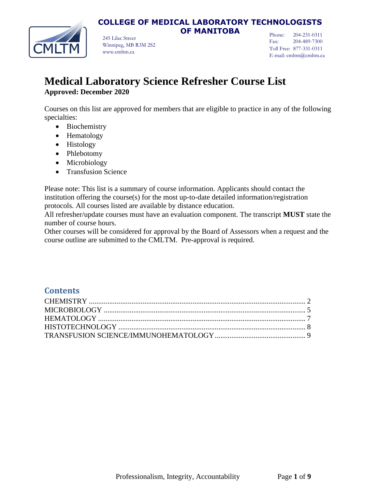### **COLLEGE OF MEDICAL LABORATORY TECHNOLOGISTS OF MANITOBA**

245 Lilac Street Winnipeg, MB R3M 2S2 www.cmltm.ca

Phone: 204-231-0311 Fax: 204-489-7300 Toll Free: 877-331-0311 E-mail: cmltm@cmltm.ca

# **Medical Laboratory Science Refresher Course List Approved: December 2020**

Courses on this list are approved for members that are eligible to practice in any of the following specialties:

- Biochemistry
- Hematology
- Histology
- Phlebotomy
- Microbiology
- Transfusion Science

Please note: This list is a summary of course information. Applicants should contact the institution offering the course(s) for the most up-to-date detailed information/registration protocols. All courses listed are available by distance education.

All refresher/update courses must have an evaluation component. The transcript **MUST** state the number of course hours.

Other courses will be considered for approval by the Board of Assessors when a request and the course outline are submitted to the CMLTM. Pre-approval is required.

### **Contents**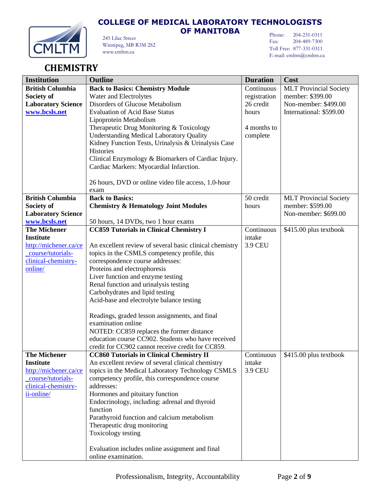

**OF MANITOBA**

Phone: 204-231-0311 Fax: 204-489-7300 Toll Free: 877-331-0311 E-mail: cmltm@cmltm.ca

245 Lilac Street Winnipeg, MB R3M 2S2 www.cmltm.ca

# <span id="page-1-0"></span>**CHEMISTRY**

| <b>Institution</b>        | <b>Outline</b>                                          | <b>Duration</b> | Cost                          |
|---------------------------|---------------------------------------------------------|-----------------|-------------------------------|
| <b>British Columbia</b>   | <b>Back to Basics: Chemistry Module</b>                 | Continuous      | <b>MLT Provincial Society</b> |
| Society of                | Water and Electrolytes                                  | registration    | member: \$399.00              |
| <b>Laboratory Science</b> | Disorders of Glucose Metabolism                         | 26 credit       | Non-member: \$499.00          |
| www.bcsls.net             | <b>Evaluation of Acid Base Status</b>                   | hours           | International: \$599.00       |
|                           | Lipoprotein Metabolism                                  |                 |                               |
|                           | Therapeutic Drug Monitoring & Toxicology                | 4 months to     |                               |
|                           | <b>Understanding Medical Laboratory Quality</b>         | complete        |                               |
|                           | Kidney Function Tests, Urinalysis & Urinalysis Case     |                 |                               |
|                           | Histories                                               |                 |                               |
|                           | Clinical Enzymology & Biomarkers of Cardiac Injury.     |                 |                               |
|                           | Cardiac Markers: Myocardial Infarction.                 |                 |                               |
|                           |                                                         |                 |                               |
|                           | 26 hours, DVD or online video file access, 1.0-hour     |                 |                               |
|                           | exam                                                    |                 |                               |
| <b>British Columbia</b>   | <b>Back to Basics:</b>                                  | 50 credit       | <b>MLT</b> Provincial Society |
| Society of                | <b>Chemistry &amp; Hematology Joint Modules</b>         | hours           | member: \$599.00              |
| <b>Laboratory Science</b> |                                                         |                 | Non-member: \$699.00          |
| www.bcsls.net             | 50 hours, 14 DVDs, two 1 hour exams                     |                 |                               |
| <b>The Michener</b>       | <b>CC859 Tutorials in Clinical Chemistry I</b>          | Continuous      | \$415.00 plus textbook        |
| <b>Institute</b>          |                                                         | intake          |                               |
| http://michener.ca/ce     | An excellent review of several basic clinical chemistry | <b>3.9 CEU</b>  |                               |
| course/tutorials-         | topics in the CSMLS competency profile, this            |                 |                               |
| clinical-chemistry-       | correspondence course addresses:                        |                 |                               |
| online/                   | Proteins and electrophoresis                            |                 |                               |
|                           | Liver function and enzyme testing                       |                 |                               |
|                           | Renal function and urinalysis testing                   |                 |                               |
|                           | Carbohydrates and lipid testing                         |                 |                               |
|                           | Acid-base and electrolyte balance testing               |                 |                               |
|                           | Readings, graded lesson assignments, and final          |                 |                               |
|                           | examination online                                      |                 |                               |
|                           | NOTED: CC859 replaces the former distance               |                 |                               |
|                           | education course CC902. Students who have received      |                 |                               |
|                           | credit for CC902 cannot receive credit for CC859.       |                 |                               |
| <b>The Michener</b>       | <b>CC860 Tutorials in Clinical Chemistry II</b>         | Continuous      | \$415.00 plus textbook        |
| <b>Institute</b>          | An excellent review of several clinical chemistry       | intake          |                               |
| http://michener.ca/ce     | topics in the Medical Laboratory Technology CSMLS       | <b>3.9 CEU</b>  |                               |
| course/tutorials-         | competency profile, this correspondence course          |                 |                               |
| clinical-chemistry-       | addresses:                                              |                 |                               |
| ii-online/                | Hormones and pituitary function                         |                 |                               |
|                           | Endocrinology, including: adrenal and thyroid           |                 |                               |
|                           | function                                                |                 |                               |
|                           | Parathyroid function and calcium metabolism             |                 |                               |
|                           | Therapeutic drug monitoring                             |                 |                               |
|                           | Toxicology testing                                      |                 |                               |
|                           |                                                         |                 |                               |
|                           | Evaluation includes online assignment and final         |                 |                               |
|                           | online examination.                                     |                 |                               |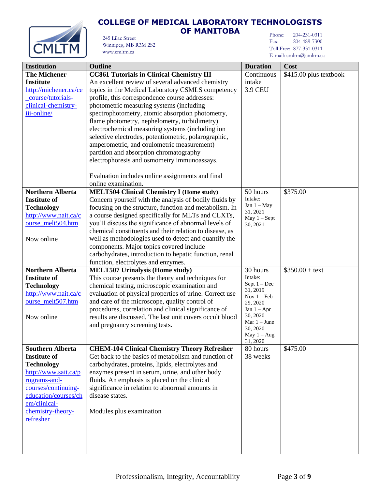



#### 245 Lilac Street Winnipeg, MB R3M 2S2

www.cmltm.ca

### **OF MANITOBA**

Phone: 204-231-0311 Fax: 204-489-7300 Toll Free: 877-331-0311 E-mail: cmltm@cmltm.ca

| <b>Institution</b><br><b>Duration</b><br><b>Outline</b><br>Cost                                                 |  |
|-----------------------------------------------------------------------------------------------------------------|--|
| <b>The Michener</b><br><b>CC861 Tutorials in Clinical Chemistry III</b><br>Continuous<br>\$415.00 plus textbook |  |
| <b>Institute</b><br>An excellent review of several advanced chemistry<br>intake                                 |  |
|                                                                                                                 |  |
| topics in the Medical Laboratory CSMLS competency<br>http://michener.ca/ce<br><b>3.9 CEU</b>                    |  |
| course/tutorials-<br>profile, this correspondence course addresses:                                             |  |
| clinical-chemistry-<br>photometric measuring systems (including                                                 |  |
| spectrophotometry, atomic absorption photometry,<br>iii-online/                                                 |  |
| flame photometry, nephelometry, turbidimetry)                                                                   |  |
| electrochemical measuring systems (including ion                                                                |  |
| selective electrodes, potentiometric, polarographic,                                                            |  |
| amperometric, and coulometric measurement)                                                                      |  |
| partition and absorption chromatography                                                                         |  |
| electrophoresis and osmometry immunoassays.                                                                     |  |
|                                                                                                                 |  |
| Evaluation includes online assignments and final                                                                |  |
| online examination.                                                                                             |  |
| <b>Northern Alberta</b><br><b>MELT504 Clinical Chemistry I (Home study)</b><br>50 hours<br>\$375.00             |  |
| Intake:<br>Concern yourself with the analysis of bodily fluids by<br><b>Institute of</b>                        |  |
| Jan $1 - May$<br>focusing on the structure, function and metabolism. In<br><b>Technology</b>                    |  |
| 31, 2021<br>a course designed specifically for MLTs and CLXTs,<br>http://www.nait.ca/c                          |  |
| May $1 -$ Sept<br>ourse_melt504.htm<br>you'll discuss the significance of abnormal levels of                    |  |
| 30, 2021<br>chemical constituents and their relation to disease, as                                             |  |
|                                                                                                                 |  |
| well as methodologies used to detect and quantify the<br>Now online                                             |  |
| components. Major topics covered include                                                                        |  |
| carbohydrates, introduction to hepatic function, renal                                                          |  |
| function, electrolytes and enzymes.                                                                             |  |
| <b>Northern Alberta</b><br><b>MELT507 Urinalysis (Home study)</b><br>30 hours<br>$$350.00 + text$               |  |
| Intake:<br><b>Institute of</b><br>This course presents the theory and techniques for<br>Sept $1 - Dec$          |  |
| chemical testing, microscopic examination and<br><b>Technology</b><br>31, 2019                                  |  |
| evaluation of physical properties of urine. Correct use<br>http://www.nait.ca/c<br>Nov $1 - Feb$                |  |
| ourse_melt507.htm<br>and care of the microscope, quality control of<br>29, 2020                                 |  |
| procedures, correlation and clinical significance of<br>Jan $1 - Apr$                                           |  |
| 30, 2020<br>results are discussed. The last unit covers occult blood<br>Now online<br>Mar $1 -$ June            |  |
| and pregnancy screening tests.<br>30, 2020                                                                      |  |
| May $1 - Aug$                                                                                                   |  |
| 31, 2020                                                                                                        |  |
| <b>CHEM-104 Clinical Chemistry Theory Refresher</b><br>80 hours<br>\$475.00<br><b>Southern Alberta</b>          |  |
| <b>Institute of</b><br>Get back to the basics of metabolism and function of<br>38 weeks                         |  |
| <b>Technology</b><br>carbohydrates, proteins, lipids, electrolytes and                                          |  |
| http://www.sait.ca/p<br>enzymes present in serum, urine, and other body                                         |  |
| fluids. An emphasis is placed on the clinical<br>rograms-and-                                                   |  |
| courses/continuing-<br>significance in relation to abnormal amounts in                                          |  |
| education/courses/ch<br>disease states.                                                                         |  |
| em/clinical-                                                                                                    |  |
| chemistry-theory-<br>Modules plus examination                                                                   |  |
| refresher                                                                                                       |  |
|                                                                                                                 |  |
|                                                                                                                 |  |
|                                                                                                                 |  |
|                                                                                                                 |  |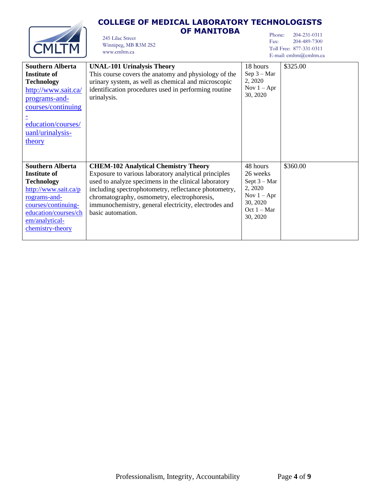

## **OF MANITOBA** Winnipeg, MB R3M 2S2

245 Lilac Street

www.cmltm.ca

Phone: 204-231-0311 Fax: 204-489-7300 Toll Free: 877-331-0311 E-mail: cmltm@cmltm.ca

| <b>Southern Alberta</b><br><b>Institute of</b><br><b>Technology</b><br>http://www.sait.ca/<br>programs-and-<br>courses/continuing<br>education/courses/<br>uanl/urinalysis-<br>theory     | <b>UNAL-101 Urinalysis Theory</b><br>This course covers the anatomy and physiology of the<br>urinary system, as well as chemical and microscopic<br>identification procedures used in performing routine<br>urinalysis.                                                                                                                         | 18 hours<br>Sep $3 - Mar$<br>2, 2020<br>Nov $1 - Apr$<br>30, 2020                                           | \$325.00 |
|-------------------------------------------------------------------------------------------------------------------------------------------------------------------------------------------|-------------------------------------------------------------------------------------------------------------------------------------------------------------------------------------------------------------------------------------------------------------------------------------------------------------------------------------------------|-------------------------------------------------------------------------------------------------------------|----------|
| <b>Southern Alberta</b><br>Institute of<br><b>Technology</b><br>http://www.sait.ca/p<br>rograms-and-<br>courses/continuing-<br>education/courses/ch<br>em/analytical-<br>chemistry-theory | <b>CHEM-102 Analytical Chemistry Theory</b><br>Exposure to various laboratory analytical principles<br>used to analyze specimens in the clinical laboratory<br>including spectrophotometry, reflectance photometry,<br>chromatography, osmometry, electrophoresis,<br>immunochemistry, general electricity, electrodes and<br>basic automation. | 48 hours<br>26 weeks<br>Sept $3 - Mar$<br>2, 2020<br>Nov $1 - Apr$<br>30, 2020<br>Oct $1 - Mar$<br>30, 2020 | \$360.00 |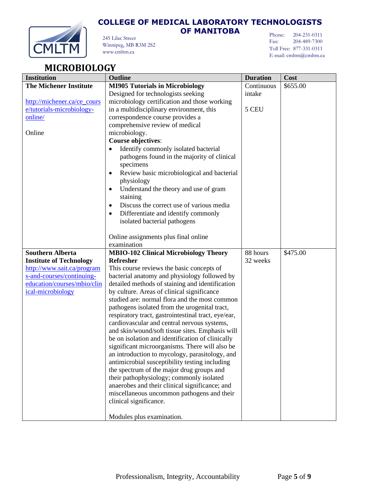



245 Lilac Street Winnipeg, MB R3M 2S2 www.cmltm.ca

### **OF MANITOBA**

Phone: 204-231-0311 Fax: 204-489-7300 Toll Free: 877-331-0311 E-mail: cmltm@cmltm.ca

# <span id="page-4-0"></span>**MICROBIOLOGY**

| <b>Institution</b>             | Outline                                                                                              | <b>Duration</b> | Cost     |
|--------------------------------|------------------------------------------------------------------------------------------------------|-----------------|----------|
| <b>The Michener Institute</b>  | <b>MI905 Tutorials in Microbiology</b>                                                               | Continuous      | \$655.00 |
|                                | Designed for technologists seeking                                                                   | intake          |          |
| http://michener.ca/ce_cours    | microbiology certification and those working                                                         |                 |          |
| e/tutorials-microbiology-      | in a multidisciplinary environment, this                                                             | 5 CEU           |          |
| online/                        | correspondence course provides a                                                                     |                 |          |
|                                | comprehensive review of medical                                                                      |                 |          |
| Online                         | microbiology.                                                                                        |                 |          |
|                                | <b>Course objectives:</b>                                                                            |                 |          |
|                                | Identify commonly isolated bacterial                                                                 |                 |          |
|                                | pathogens found in the majority of clinical                                                          |                 |          |
|                                | specimens                                                                                            |                 |          |
|                                | Review basic microbiological and bacterial                                                           |                 |          |
|                                | physiology                                                                                           |                 |          |
|                                | Understand the theory and use of gram<br>$\bullet$                                                   |                 |          |
|                                | staining                                                                                             |                 |          |
|                                | Discuss the correct use of various media<br>$\bullet$                                                |                 |          |
|                                | Differentiate and identify commonly<br>$\bullet$                                                     |                 |          |
|                                | isolated bacterial pathogens                                                                         |                 |          |
|                                |                                                                                                      |                 |          |
|                                | Online assignments plus final online                                                                 |                 |          |
|                                | examination                                                                                          |                 |          |
| <b>Southern Alberta</b>        | <b>MBIO-102 Clinical Microbiology Theory</b>                                                         | 88 hours        | \$475.00 |
| <b>Institute of Technology</b> | Refresher                                                                                            | 32 weeks        |          |
| http://www.sait.ca/program     | This course reviews the basic concepts of                                                            |                 |          |
| s-and-courses/continuing-      | bacterial anatomy and physiology followed by                                                         |                 |          |
| education/courses/mbio/clin    | detailed methods of staining and identification                                                      |                 |          |
| ical-microbiology              | by culture. Areas of clinical significance<br>studied are: normal flora and the most common          |                 |          |
|                                |                                                                                                      |                 |          |
|                                | pathogens isolated from the urogenital tract,<br>respiratory tract, gastrointestinal tract, eye/ear, |                 |          |
|                                | cardiovascular and central nervous systems,                                                          |                 |          |
|                                | and skin/wound/soft tissue sites. Emphasis will                                                      |                 |          |
|                                | be on isolation and identification of clinically                                                     |                 |          |
|                                | significant microorganisms. There will also be                                                       |                 |          |
|                                | an introduction to mycology, parasitology, and                                                       |                 |          |
|                                | antimicrobial susceptibility testing including                                                       |                 |          |
|                                | the spectrum of the major drug groups and                                                            |                 |          |
|                                | their pathophysiology; commonly isolated                                                             |                 |          |
|                                | anaerobes and their clinical significance; and                                                       |                 |          |
|                                | miscellaneous uncommon pathogens and their                                                           |                 |          |
|                                | clinical significance.                                                                               |                 |          |
|                                |                                                                                                      |                 |          |
|                                | Modules plus examination.                                                                            |                 |          |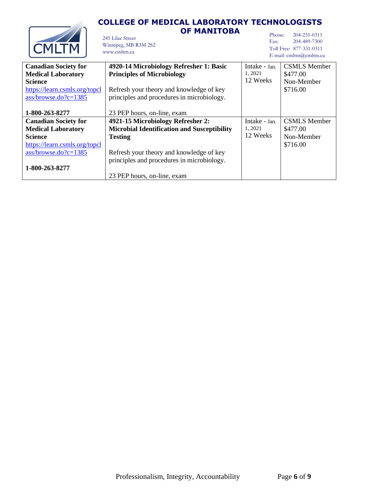### **COLLEGE OF MEDICAL LABORATORY TECHNOLOGISTS OF MANITOBA**



#### 245 Lilac Street Winnipeg, MB R3M 2S2 www.cmltm.ca

Phone: 204-231-0311<br>Fax: 204-489-7300 Fax: 204-489-7300 Toll Free: 877-331-0311 E-mail: cmltm@cmltm.ca

|                               |                                                    |               | E-Inail: Chilthing Chilthing |
|-------------------------------|----------------------------------------------------|---------------|------------------------------|
| <b>Canadian Society for</b>   | 4920-14 Microbiology Refresher 1: Basic            | Intake - Jan. | <b>CSMLS</b> Member          |
| <b>Medical Laboratory</b>     | <b>Principles of Microbiology</b>                  | 1, 2021       | \$477.00                     |
| <b>Science</b>                |                                                    | 12 Weeks      | Non-Member                   |
| https://learn.csmls.org/topcl | Refresh your theory and knowledge of key           |               | \$716.00                     |
| $ass/browse.doc2c=1385$       | principles and procedures in microbiology.         |               |                              |
|                               |                                                    |               |                              |
| 1-800-263-8277                | 23 PEP hours, on-line, exam                        |               |                              |
| <b>Canadian Society for</b>   | 4921-15 Microbiology Refresher 2:                  | Intake - Jan. | <b>CSMLS</b> Member          |
| <b>Medical Laboratory</b>     | <b>Microbial Identification and Susceptibility</b> | 1, 2021       | \$477.00                     |
| <b>Science</b>                | <b>Testing</b>                                     | 12 Weeks      | Non-Member                   |
| https://learn.csmls.org/topcl |                                                    |               | \$716.00                     |
| $ass/browse$ .do?c=1385       | Refresh your theory and knowledge of key           |               |                              |
|                               | principles and procedures in microbiology.         |               |                              |
| 1-800-263-8277                |                                                    |               |                              |
|                               | 23 PEP hours, on-line, exam                        |               |                              |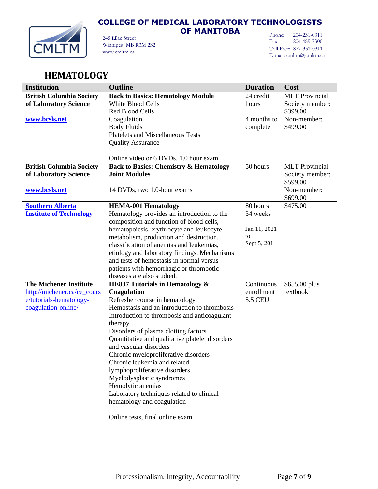

245 Lilac Street Winnipeg, MB R3M 2S2 www.cmltm.ca

**OF MANITOBA**

Phone: 204-231-0311 Fax: 204-489-7300 Toll Free: 877-331-0311 E-mail: cmltm@cmltm.ca

## <span id="page-6-0"></span>**HEMATOLOGY**

| <b>Institution</b>              | <b>Outline</b>                                                           | <b>Duration</b> | Cost                  |
|---------------------------------|--------------------------------------------------------------------------|-----------------|-----------------------|
| <b>British Columbia Society</b> | <b>Back to Basics: Hematology Module</b>                                 | 24 credit       | <b>MLT</b> Provincial |
| of Laboratory Science           | <b>White Blood Cells</b>                                                 | hours           | Society member:       |
|                                 | <b>Red Blood Cells</b>                                                   |                 | \$399.00              |
| www.bcsls.net                   | Coagulation                                                              | 4 months to     | Non-member:           |
|                                 | <b>Body Fluids</b>                                                       | complete        | \$499.00              |
|                                 | <b>Platelets and Miscellaneous Tests</b>                                 |                 |                       |
|                                 | <b>Quality Assurance</b>                                                 |                 |                       |
|                                 |                                                                          |                 |                       |
|                                 | Online video or 6 DVDs. 1.0 hour exam                                    |                 |                       |
| <b>British Columbia Society</b> | <b>Back to Basics: Chemistry &amp; Hematology</b>                        | 50 hours        | <b>MLT</b> Provincial |
| of Laboratory Science           | <b>Joint Modules</b>                                                     |                 | Society member:       |
|                                 |                                                                          |                 | \$599.00              |
| www.bcsls.net                   | 14 DVDs, two 1.0-hour exams                                              |                 | Non-member:           |
| <b>Southern Alberta</b>         |                                                                          | 80 hours        | \$699.00<br>\$475.00  |
| <b>Institute of Technology</b>  | <b>HEMA-001 Hematology</b><br>Hematology provides an introduction to the | 34 weeks        |                       |
|                                 | composition and function of blood cells,                                 |                 |                       |
|                                 | hematopoiesis, erythrocyte and leukocyte                                 | Jan 11, 2021    |                       |
|                                 | metabolism, production and destruction,                                  | to              |                       |
|                                 | classification of anemias and leukemias,                                 | Sept 5, 201     |                       |
|                                 | etiology and laboratory findings. Mechanisms                             |                 |                       |
|                                 | and tests of hemostasis in normal versus                                 |                 |                       |
|                                 | patients with hemorrhagic or thrombotic                                  |                 |                       |
|                                 | diseases are also studied.                                               |                 |                       |
| <b>The Michener Institute</b>   | HE837 Tutorials in Hematology &                                          | Continuous      | \$655.00 plus         |
| http://michener.ca/ce_cours     | Coagulation                                                              | enrollment      | textbook              |
| e/tutorials-hematology-         | Refresher course in hematology                                           | <b>5.5 CEU</b>  |                       |
| coagulation-online/             | Hemostasis and an introduction to thrombosis                             |                 |                       |
|                                 | Introduction to thrombosis and anticoagulant                             |                 |                       |
|                                 | therapy                                                                  |                 |                       |
|                                 | Disorders of plasma clotting factors                                     |                 |                       |
|                                 | Quantitative and qualitative platelet disorders                          |                 |                       |
|                                 | and vascular disorders                                                   |                 |                       |
|                                 | Chronic myeloproliferative disorders                                     |                 |                       |
|                                 | Chronic leukemia and related                                             |                 |                       |
|                                 | lymphoproliferative disorders                                            |                 |                       |
|                                 | Myelodysplastic syndromes<br>Hemolytic anemias                           |                 |                       |
|                                 | Laboratory techniques related to clinical                                |                 |                       |
|                                 | hematology and coagulation                                               |                 |                       |
|                                 |                                                                          |                 |                       |
|                                 | Online tests, final online exam                                          |                 |                       |
|                                 |                                                                          |                 |                       |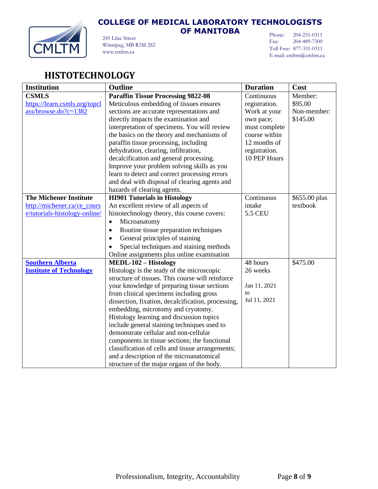

**OF MANITOBA**

Phone: 204-231-0311 Fax: 204-489-7300 Toll Free: 877-331-0311 E-mail: cmltm@cmltm.ca

#### 245 Lilac Street Winnipeg, MB R3M 2S2 www.cmltm.ca

# <span id="page-7-0"></span>**HISTOTECHNOLOGY**

| <b>Institution</b>             | Outline                                            | <b>Duration</b> | Cost          |
|--------------------------------|----------------------------------------------------|-----------------|---------------|
| <b>CSMLS</b>                   | <b>Paraffin Tissue Processing 9822-08</b>          | Continuous      | Member:       |
| https://learn.csmls.org/topcl  | Meticulous embedding of tissues ensures            | registration.   | \$95.00       |
| ass/browse.do?c=1382           | sections are accurate representations and          | Work at your    | Non-member:   |
|                                | directly impacts the examination and               | own pace;       | \$145.00      |
|                                | interpretation of specimens. You will review       | must complete   |               |
|                                | the basics on the theory and mechanisms of         | course within   |               |
|                                | paraffin tissue processing, including              | 12 months of    |               |
|                                | dehydration, clearing, infiltration,               | registration.   |               |
|                                | decalcification and general processing.            | 10 PEP Hours    |               |
|                                | Improve your problem solving skills as you         |                 |               |
|                                | learn to detect and correct processing errors      |                 |               |
|                                | and deal with disposal of clearing agents and      |                 |               |
|                                | hazards of clearing agents.                        |                 |               |
| <b>The Michener Institute</b>  | <b>HI901 Tutorials in Histology</b>                | Continuous      | \$655.00 plus |
| http://michener.ca/ce_cours    | An excellent review of all aspects of              | intake          | textbook      |
| e/tutorials-histology-online/  | histotechnology theory, this course covers:        | <b>5.5 CEU</b>  |               |
|                                | Microanatomy<br>$\bullet$                          |                 |               |
|                                | Routine tissue preparation techniques<br>$\bullet$ |                 |               |
|                                | General principles of staining                     |                 |               |
|                                | Special techniques and staining methods            |                 |               |
|                                | Online assignments plus online examination         |                 |               |
| <b>Southern Alberta</b>        | <b>MEDL-102 - Histology</b>                        | 48 hours        | \$475.00      |
| <b>Institute of Technology</b> | Histology is the study of the microscopic          | 26 weeks        |               |
|                                | structure of tissues. This course will reinforce   |                 |               |
|                                | your knowledge of preparing tissue sections        | Jan 11, 2021    |               |
|                                | from clinical specimens including gross            | to              |               |
|                                | dissection, fixation, decalcification, processing, | Jul 11, 2021    |               |
|                                | embedding, microtomy and cryotomy.                 |                 |               |
|                                | Histology learning and discussion topics           |                 |               |
|                                | include general staining techniques used to        |                 |               |
|                                | demonstrate cellular and non-cellular              |                 |               |
|                                | components in tissue sections; the functional      |                 |               |
|                                | classification of cells and tissue arrangements;   |                 |               |
|                                | and a description of the microanatomical           |                 |               |
|                                | structure of the major organs of the body.         |                 |               |